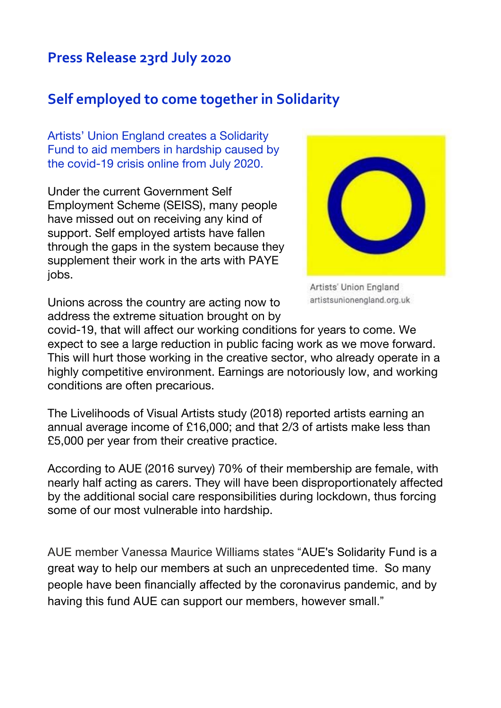## **Press Release 23rd July 2020**

## **Self employed to come together in Solidarity**

Artists' Union England creates a Solidarity Fund to aid members in hardship caused by the covid-19 crisis online from July 2020.

Under the current Government Self Employment Scheme (SEISS), many people have missed out on receiving any kind of support. Self employed artists have fallen through the gaps in the system because they supplement their work in the arts with PAYE jobs.



Artists' Union England artistsunionengland.org.uk

Unions across the country are acting now to address the extreme situation brought on by

covid-19, that will affect our working conditions for years to come. We expect to see a large reduction in public facing work as we move forward. This will hurt those working in the creative sector, who already operate in a highly competitive environment. Earnings are notoriously low, and working conditions are often precarious.

The Livelihoods of Visual Artists study (2018) reported artists earning an annual average income of £16,000; and that 2/3 of artists make less than £5,000 per year from their creative practice.

According to AUE (2016 survey) 70% of their membership are female, with nearly half acting as carers. They will have been disproportionately affected by the additional social care responsibilities during lockdown, thus forcing some of our most vulnerable into hardship.

AUE member Vanessa Maurice Williams states "AUE's Solidarity Fund is a great way to help our members at such an unprecedented time. So many people have been financially affected by the coronavirus pandemic, and by having this fund AUE can support our members, however small."